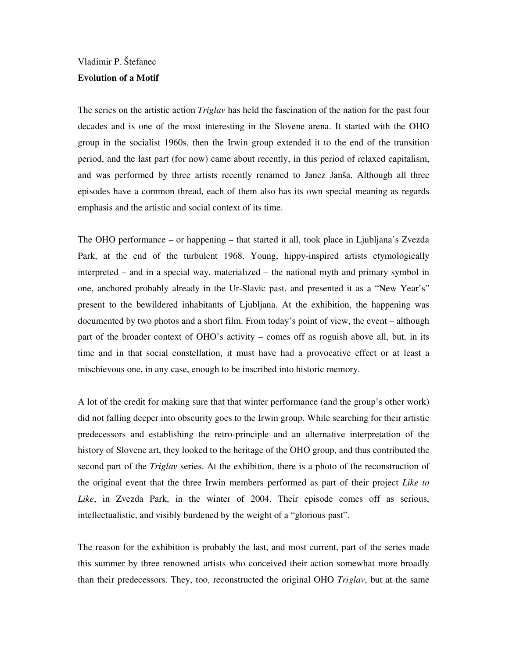## Vladimir P. Štefanec

## **Evolution of a Motif**

The series on the artistic action *Triglav* has held the fascination of the nation for the past four decades and is one of the most interesting in the Slovene arena. It started with the OHO group in the socialist 1960s, then the Irwin group extended it to the end of the transition period, and the last part (for now) came about recently, in this period of relaxed capitalism, and was performed by three artists recently renamed to Janez Janša. Although all three episodes have a common thread, each of them also has its own special meaning as regards emphasis and the artistic and social context of its time.

The OHO performance – or happening – that started it all, took place in Ljubljana's Zvezda Park, at the end of the turbulent 1968. Young, hippy-inspired artists etymologically interpreted – and in a special way, materialized – the national myth and primary symbol in one, anchored probably already in the Ur-Slavic past, and presented it as a "New Year's" present to the bewildered inhabitants of Ljubljana. At the exhibition, the happening was documented by two photos and a short film. From today's point of view, the event – although part of the broader context of OHO's activity – comes off as roguish above all, but, in its time and in that social constellation, it must have had a provocative effect or at least a mischievous one, in any case, enough to be inscribed into historic memory.

A lot of the credit for making sure that that winter performance (and the group's other work) did not falling deeper into obscurity goes to the Irwin group. While searching for their artistic predecessors and establishing the retro-principle and an alternative interpretation of the history of Slovene art, they looked to the heritage of the OHO group, and thus contributed the second part of the *Triglav* series. At the exhibition, there is a photo of the reconstruction of the original event that the three Irwin members performed as part of their project *Like to Like*, in Zvezda Park, in the winter of 2004. Their episode comes off as serious, intellectualistic, and visibly burdened by the weight of a "glorious past".

The reason for the exhibition is probably the last, and most current, part of the series made this summer by three renowned artists who conceived their action somewhat more broadly than their predecessors. They, too, reconstructed the original OHO *Triglav*, but at the same